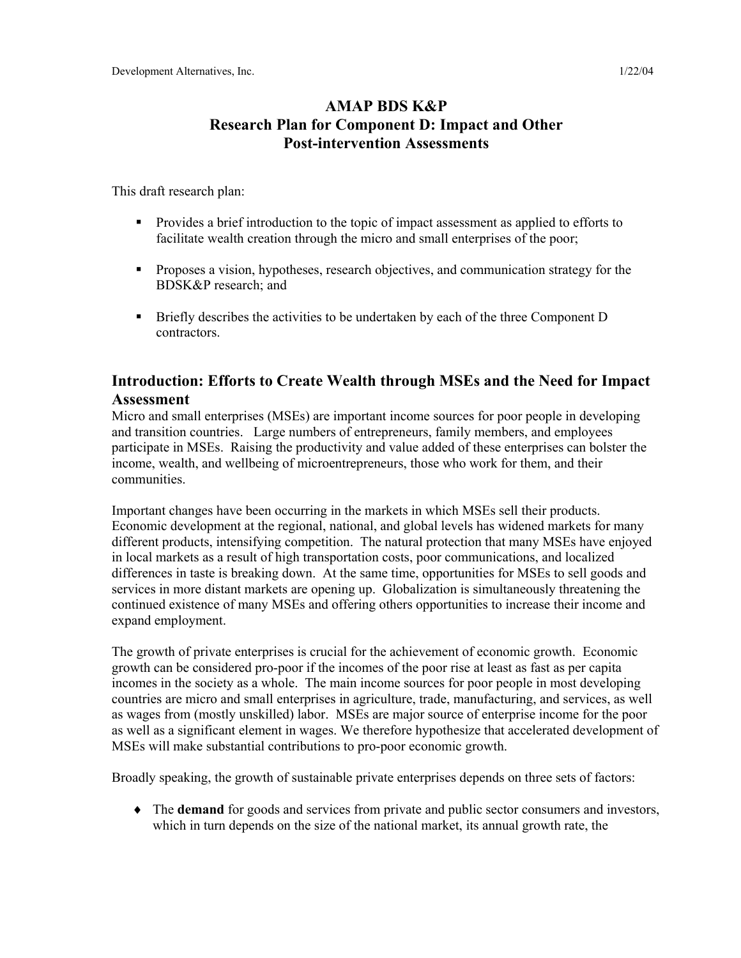# **AMAP BDS K&P Research Plan for Component D: Impact and Other Post-intervention Assessments**

This draft research plan:

- Provides a brief introduction to the topic of impact assessment as applied to efforts to facilitate wealth creation through the micro and small enterprises of the poor;
- **Proposes a vision, hypotheses, research objectives, and communication strategy for the** BDSK&P research; and
- **Briefly describes the activities to be undertaken by each of the three Component D** contractors.

# **Introduction: Efforts to Create Wealth through MSEs and the Need for Impact Assessment**

Micro and small enterprises (MSEs) are important income sources for poor people in developing and transition countries. Large numbers of entrepreneurs, family members, and employees participate in MSEs. Raising the productivity and value added of these enterprises can bolster the income, wealth, and wellbeing of microentrepreneurs, those who work for them, and their communities.

Important changes have been occurring in the markets in which MSEs sell their products. Economic development at the regional, national, and global levels has widened markets for many different products, intensifying competition. The natural protection that many MSEs have enjoyed in local markets as a result of high transportation costs, poor communications, and localized differences in taste is breaking down. At the same time, opportunities for MSEs to sell goods and services in more distant markets are opening up. Globalization is simultaneously threatening the continued existence of many MSEs and offering others opportunities to increase their income and expand employment.

The growth of private enterprises is crucial for the achievement of economic growth. Economic growth can be considered pro-poor if the incomes of the poor rise at least as fast as per capita incomes in the society as a whole. The main income sources for poor people in most developing countries are micro and small enterprises in agriculture, trade, manufacturing, and services, as well as wages from (mostly unskilled) labor. MSEs are major source of enterprise income for the poor as well as a significant element in wages. We therefore hypothesize that accelerated development of MSEs will make substantial contributions to pro-poor economic growth.

Broadly speaking, the growth of sustainable private enterprises depends on three sets of factors:

♦ The **demand** for goods and services from private and public sector consumers and investors, which in turn depends on the size of the national market, its annual growth rate, the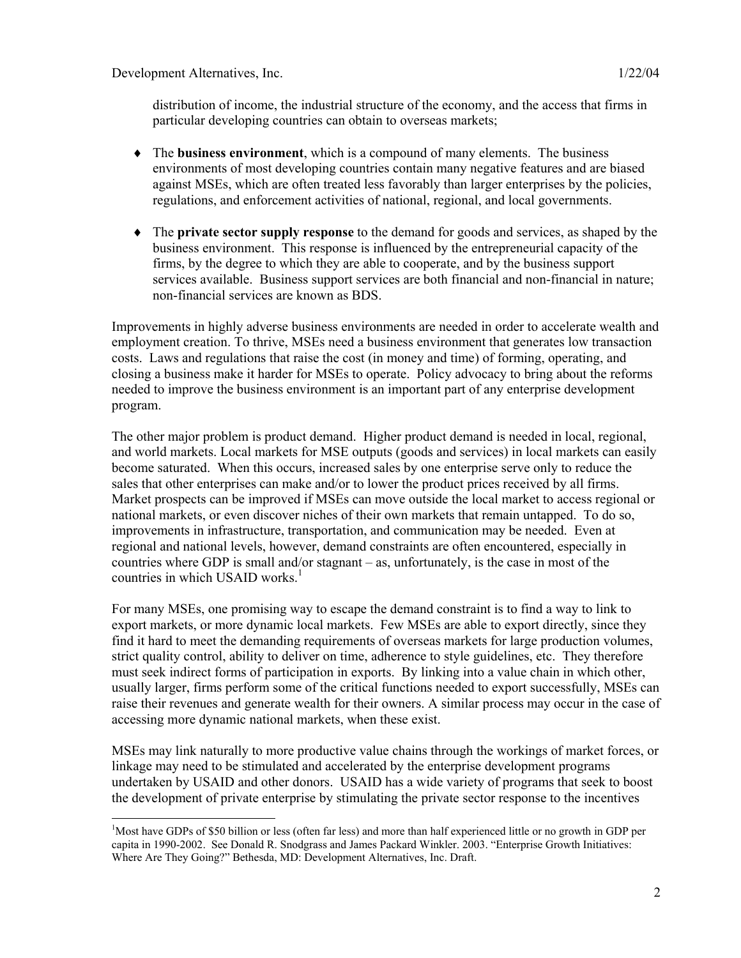distribution of income, the industrial structure of the economy, and the access that firms in particular developing countries can obtain to overseas markets;

- ♦ The **business environment**, which is a compound of many elements. The business environments of most developing countries contain many negative features and are biased against MSEs, which are often treated less favorably than larger enterprises by the policies, regulations, and enforcement activities of national, regional, and local governments.
- ♦ The **private sector supply response** to the demand for goods and services, as shaped by the business environment. This response is influenced by the entrepreneurial capacity of the firms, by the degree to which they are able to cooperate, and by the business support services available. Business support services are both financial and non-financial in nature; non-financial services are known as BDS.

Improvements in highly adverse business environments are needed in order to accelerate wealth and employment creation. To thrive, MSEs need a business environment that generates low transaction costs. Laws and regulations that raise the cost (in money and time) of forming, operating, and closing a business make it harder for MSEs to operate. Policy advocacy to bring about the reforms needed to improve the business environment is an important part of any enterprise development program.

The other major problem is product demand. Higher product demand is needed in local, regional, and world markets. Local markets for MSE outputs (goods and services) in local markets can easily become saturated. When this occurs, increased sales by one enterprise serve only to reduce the sales that other enterprises can make and/or to lower the product prices received by all firms. Market prospects can be improved if MSEs can move outside the local market to access regional or national markets, or even discover niches of their own markets that remain untapped. To do so, improvements in infrastructure, transportation, and communication may be needed. Even at regional and national levels, however, demand constraints are often encountered, especially in countries where GDP is small and/or stagnant – as, unfortunately, is the case in most of the countries in which USAID works. $<sup>1</sup>$ </sup>

For many MSEs, one promising way to escape the demand constraint is to find a way to link to export markets, or more dynamic local markets. Few MSEs are able to export directly, since they find it hard to meet the demanding requirements of overseas markets for large production volumes, strict quality control, ability to deliver on time, adherence to style guidelines, etc. They therefore must seek indirect forms of participation in exports. By linking into a value chain in which other, usually larger, firms perform some of the critical functions needed to export successfully, MSEs can raise their revenues and generate wealth for their owners. A similar process may occur in the case of accessing more dynamic national markets, when these exist.

MSEs may link naturally to more productive value chains through the workings of market forces, or linkage may need to be stimulated and accelerated by the enterprise development programs undertaken by USAID and other donors. USAID has a wide variety of programs that seek to boost the development of private enterprise by stimulating the private sector response to the incentives

<sup>&</sup>lt;sup>1</sup>Most have GDPs of \$50 billion or less (often far less) and more than half experienced little or no growth in GDP per capita in 1990-2002. See Donald R. Snodgrass and James Packard Winkler. 2003. "Enterprise Growth Initiatives: Where Are They Going?" Bethesda, MD: Development Alternatives, Inc. Draft.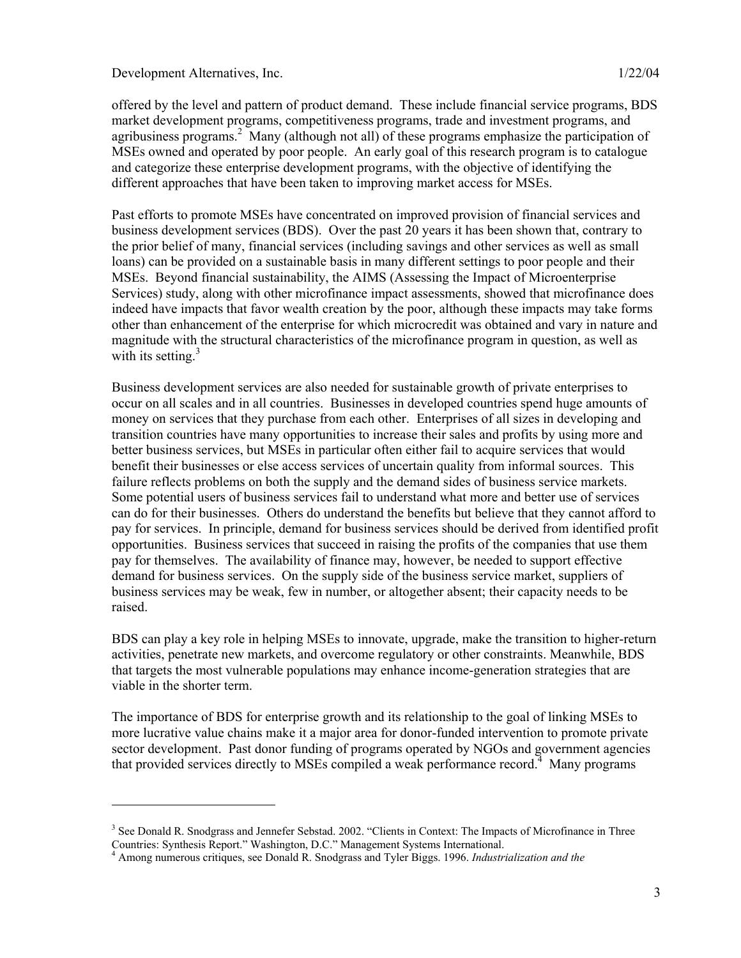$\overline{a}$ 

offered by the level and pattern of product demand. These include financial service programs, BDS market development programs, competitiveness programs, trade and investment programs, and agribusiness programs.<sup>2</sup> Many (although not all) of these programs emphasize the participation of MSEs owned and operated by poor people. An early goal of this research program is to catalogue and categorize these enterprise development programs, with the objective of identifying the different approaches that have been taken to improving market access for MSEs.

Past efforts to promote MSEs have concentrated on improved provision of financial services and business development services (BDS). Over the past 20 years it has been shown that, contrary to the prior belief of many, financial services (including savings and other services as well as small loans) can be provided on a sustainable basis in many different settings to poor people and their MSEs. Beyond financial sustainability, the AIMS (Assessing the Impact of Microenterprise Services) study, along with other microfinance impact assessments, showed that microfinance does indeed have impacts that favor wealth creation by the poor, although these impacts may take forms other than enhancement of the enterprise for which microcredit was obtained and vary in nature and magnitude with the structural characteristics of the microfinance program in question, as well as with its setting. $3$ 

Business development services are also needed for sustainable growth of private enterprises to occur on all scales and in all countries. Businesses in developed countries spend huge amounts of money on services that they purchase from each other. Enterprises of all sizes in developing and transition countries have many opportunities to increase their sales and profits by using more and better business services, but MSEs in particular often either fail to acquire services that would benefit their businesses or else access services of uncertain quality from informal sources. This failure reflects problems on both the supply and the demand sides of business service markets. Some potential users of business services fail to understand what more and better use of services can do for their businesses. Others do understand the benefits but believe that they cannot afford to pay for services. In principle, demand for business services should be derived from identified profit opportunities. Business services that succeed in raising the profits of the companies that use them pay for themselves. The availability of finance may, however, be needed to support effective demand for business services. On the supply side of the business service market, suppliers of business services may be weak, few in number, or altogether absent; their capacity needs to be raised.

BDS can play a key role in helping MSEs to innovate, upgrade, make the transition to higher-return activities, penetrate new markets, and overcome regulatory or other constraints. Meanwhile, BDS that targets the most vulnerable populations may enhance income-generation strategies that are viable in the shorter term.

The importance of BDS for enterprise growth and its relationship to the goal of linking MSEs to more lucrative value chains make it a major area for donor-funded intervention to promote private sector development. Past donor funding of programs operated by NGOs and government agencies that provided services directly to MSEs compiled a weak performance record.<sup>4</sup> Many programs

<sup>&</sup>lt;sup>3</sup> See Donald R. Snodgrass and Jennefer Sebstad. 2002. "Clients in Context: The Impacts of Microfinance in Three Countries: Synthesis Report." Washington, D.C." Management Systems International.

<sup>4</sup> Among numerous critiques, see Donald R. Snodgrass and Tyler Biggs. 1996. *Industrialization and the*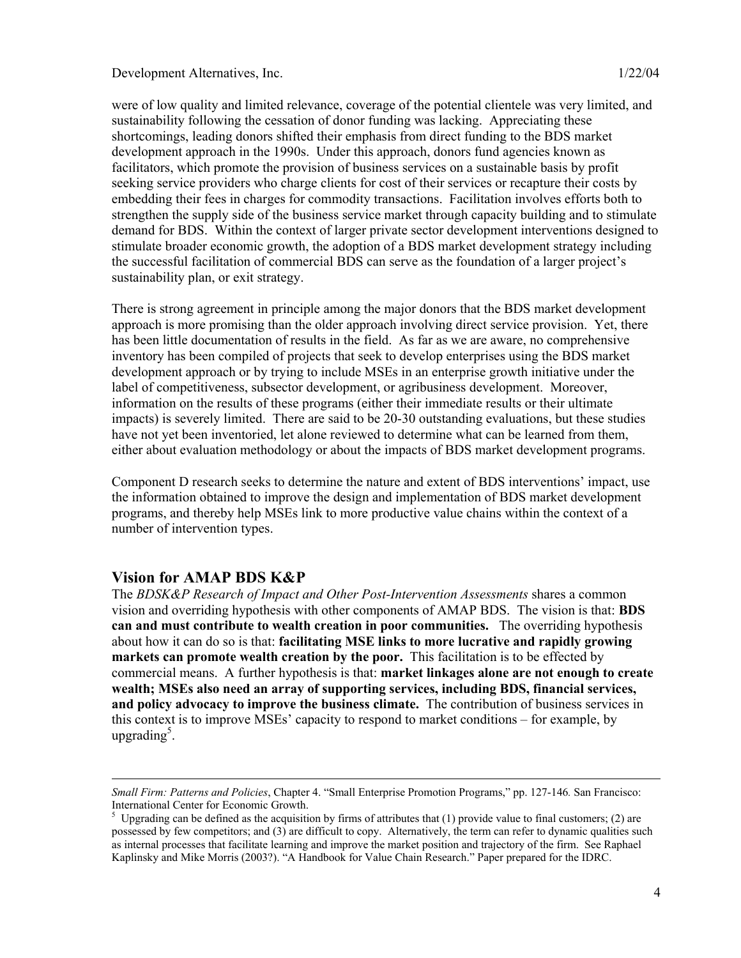were of low quality and limited relevance, coverage of the potential clientele was very limited, and sustainability following the cessation of donor funding was lacking. Appreciating these shortcomings, leading donors shifted their emphasis from direct funding to the BDS market development approach in the 1990s. Under this approach, donors fund agencies known as facilitators, which promote the provision of business services on a sustainable basis by profit seeking service providers who charge clients for cost of their services or recapture their costs by embedding their fees in charges for commodity transactions. Facilitation involves efforts both to strengthen the supply side of the business service market through capacity building and to stimulate demand for BDS. Within the context of larger private sector development interventions designed to stimulate broader economic growth, the adoption of a BDS market development strategy including the successful facilitation of commercial BDS can serve as the foundation of a larger project's sustainability plan, or exit strategy.

There is strong agreement in principle among the major donors that the BDS market development approach is more promising than the older approach involving direct service provision. Yet, there has been little documentation of results in the field. As far as we are aware, no comprehensive inventory has been compiled of projects that seek to develop enterprises using the BDS market development approach or by trying to include MSEs in an enterprise growth initiative under the label of competitiveness, subsector development, or agribusiness development. Moreover, information on the results of these programs (either their immediate results or their ultimate impacts) is severely limited. There are said to be 20-30 outstanding evaluations, but these studies have not yet been inventoried, let alone reviewed to determine what can be learned from them, either about evaluation methodology or about the impacts of BDS market development programs.

Component D research seeks to determine the nature and extent of BDS interventions' impact, use the information obtained to improve the design and implementation of BDS market development programs, and thereby help MSEs link to more productive value chains within the context of a number of intervention types.

### **Vision for AMAP BDS K&P**

l

The *BDSK&P Research of Impact and Other Post-Intervention Assessments* shares a common vision and overriding hypothesis with other components of AMAP BDS. The vision is that: **BDS can and must contribute to wealth creation in poor communities.** The overriding hypothesis about how it can do so is that: **facilitating MSE links to more lucrative and rapidly growing markets can promote wealth creation by the poor.** This facilitation is to be effected by commercial means. A further hypothesis is that: **market linkages alone are not enough to create wealth; MSEs also need an array of supporting services, including BDS, financial services, and policy advocacy to improve the business climate.** The contribution of business services in this context is to improve MSEs' capacity to respond to market conditions – for example, by upgrading<sup>5</sup>.

*Small Firm: Patterns and Policies*, Chapter 4. "Small Enterprise Promotion Programs," pp. 127-146*.* San Francisco: International Center for Economic Growth.

<sup>&</sup>lt;sup>5</sup> Upgrading can be defined as the acquisition by firms of attributes that (1) provide value to final customers; (2) are possessed by few competitors; and (3) are difficult to copy. Alternatively, the term can refer to dynamic qualities such as internal processes that facilitate learning and improve the market position and trajectory of the firm. See Raphael Kaplinsky and Mike Morris (2003?). "A Handbook for Value Chain Research." Paper prepared for the IDRC.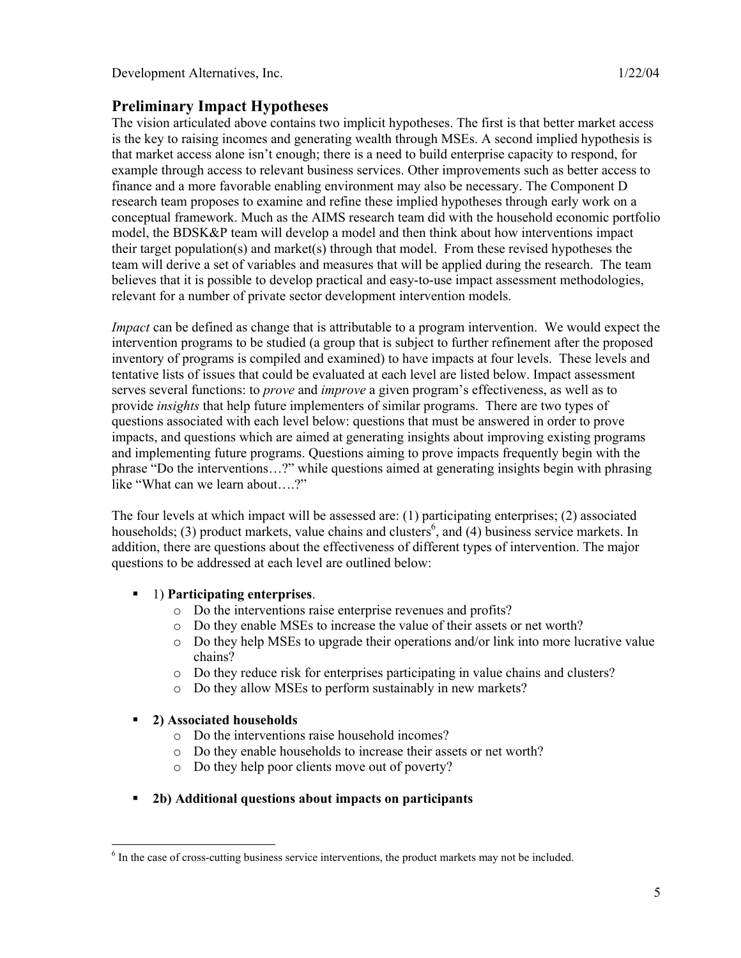## **Preliminary Impact Hypotheses**

The vision articulated above contains two implicit hypotheses. The first is that better market access is the key to raising incomes and generating wealth through MSEs. A second implied hypothesis is that market access alone isn't enough; there is a need to build enterprise capacity to respond, for example through access to relevant business services. Other improvements such as better access to finance and a more favorable enabling environment may also be necessary. The Component D research team proposes to examine and refine these implied hypotheses through early work on a conceptual framework. Much as the AIMS research team did with the household economic portfolio model, the BDSK&P team will develop a model and then think about how interventions impact their target population(s) and market(s) through that model. From these revised hypotheses the team will derive a set of variables and measures that will be applied during the research. The team believes that it is possible to develop practical and easy-to-use impact assessment methodologies, relevant for a number of private sector development intervention models.

*Impact* can be defined as change that is attributable to a program intervention. We would expect the intervention programs to be studied (a group that is subject to further refinement after the proposed inventory of programs is compiled and examined) to have impacts at four levels. These levels and tentative lists of issues that could be evaluated at each level are listed below. Impact assessment serves several functions: to *prove* and *improve* a given program's effectiveness, as well as to provide *insights* that help future implementers of similar programs. There are two types of questions associated with each level below: questions that must be answered in order to prove impacts, and questions which are aimed at generating insights about improving existing programs and implementing future programs. Questions aiming to prove impacts frequently begin with the phrase "Do the interventions…?" while questions aimed at generating insights begin with phrasing like "What can we learn about….?"

The four levels at which impact will be assessed are: (1) participating enterprises; (2) associated households; (3) product markets, value chains and clusters<sup>6</sup>, and (4) business service markets. In addition, there are questions about the effectiveness of different types of intervention. The major questions to be addressed at each level are outlined below:

## 1) **Participating enterprises**.

- o Do the interventions raise enterprise revenues and profits?
- o Do they enable MSEs to increase the value of their assets or net worth?
- o Do they help MSEs to upgrade their operations and/or link into more lucrative value chains?
- o Do they reduce risk for enterprises participating in value chains and clusters?
- o Do they allow MSEs to perform sustainably in new markets?

### **2) Associated households**

l

- o Do the interventions raise household incomes?
- o Do they enable households to increase their assets or net worth?
- o Do they help poor clients move out of poverty?

### **2b) Additional questions about impacts on participants**

 $6$  In the case of cross-cutting business service interventions, the product markets may not be included.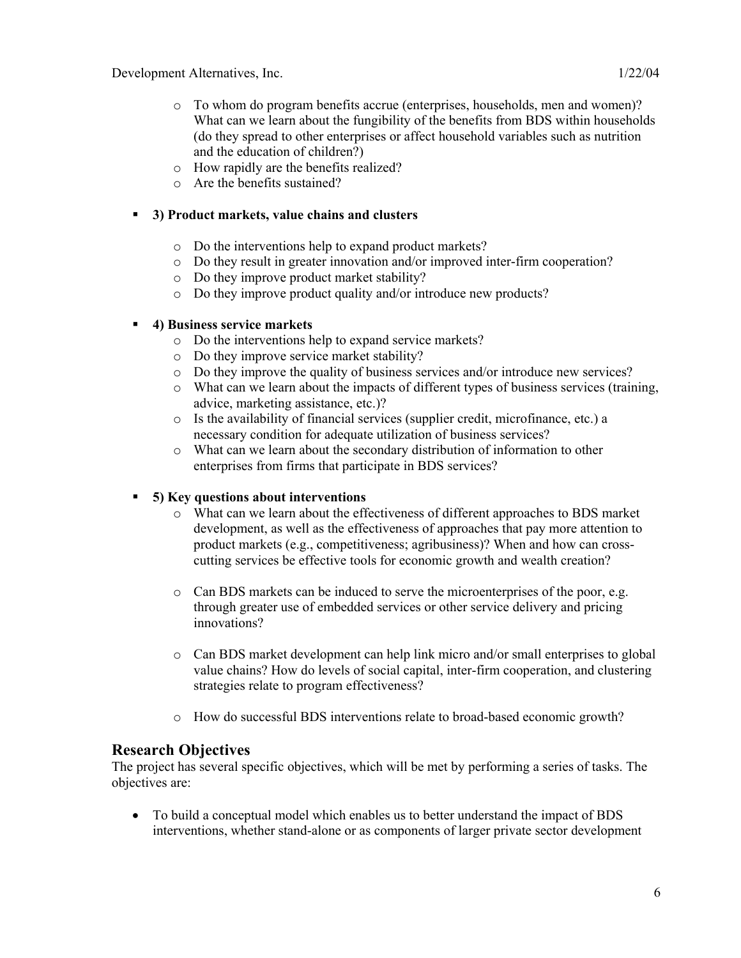- o How rapidly are the benefits realized?
- o Are the benefits sustained?

#### **3) Product markets, value chains and clusters**

- o Do the interventions help to expand product markets?
- o Do they result in greater innovation and/or improved inter-firm cooperation?
- o Do they improve product market stability?
- o Do they improve product quality and/or introduce new products?

#### **4) Business service markets**

- o Do the interventions help to expand service markets?
- o Do they improve service market stability?
- o Do they improve the quality of business services and/or introduce new services?
- o What can we learn about the impacts of different types of business services (training, advice, marketing assistance, etc.)?
- o Is the availability of financial services (supplier credit, microfinance, etc.) a necessary condition for adequate utilization of business services?
- o What can we learn about the secondary distribution of information to other enterprises from firms that participate in BDS services?

### **5) Key questions about interventions**

- o What can we learn about the effectiveness of different approaches to BDS market development, as well as the effectiveness of approaches that pay more attention to product markets (e.g., competitiveness; agribusiness)? When and how can crosscutting services be effective tools for economic growth and wealth creation?
- o Can BDS markets can be induced to serve the microenterprises of the poor, e.g. through greater use of embedded services or other service delivery and pricing innovations?
- o Can BDS market development can help link micro and/or small enterprises to global value chains? How do levels of social capital, inter-firm cooperation, and clustering strategies relate to program effectiveness?
- o How do successful BDS interventions relate to broad-based economic growth?

## **Research Objectives**

The project has several specific objectives, which will be met by performing a series of tasks. The objectives are:

• To build a conceptual model which enables us to better understand the impact of BDS interventions, whether stand-alone or as components of larger private sector development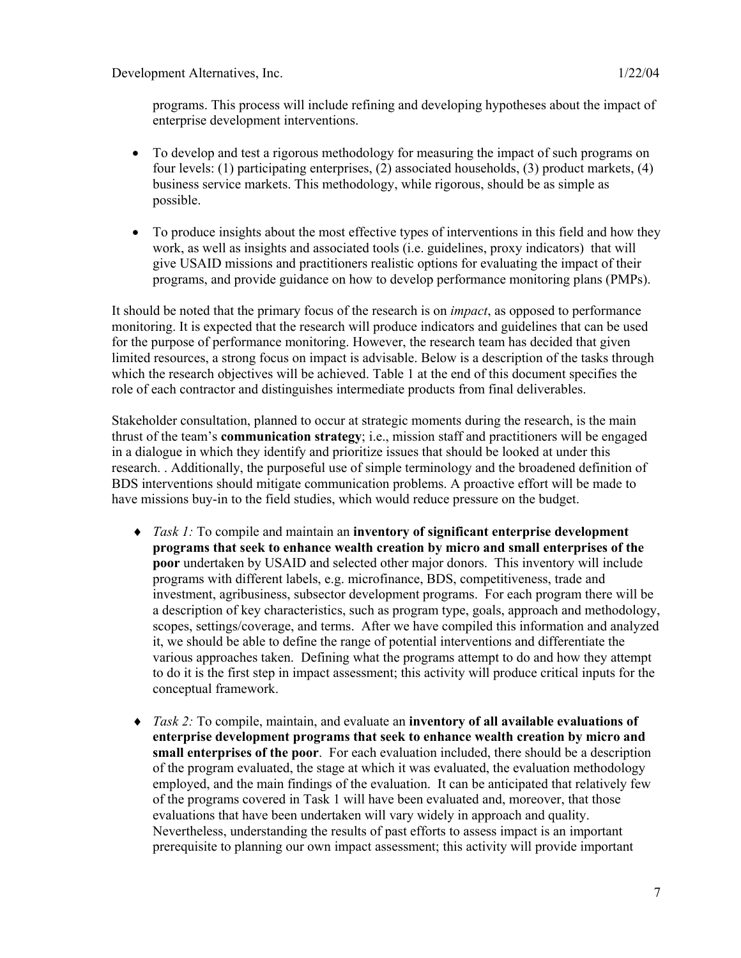- To develop and test a rigorous methodology for measuring the impact of such programs on four levels: (1) participating enterprises, (2) associated households, (3) product markets, (4) business service markets. This methodology, while rigorous, should be as simple as possible.
- To produce insights about the most effective types of interventions in this field and how they work, as well as insights and associated tools (i.e. guidelines, proxy indicators) that will give USAID missions and practitioners realistic options for evaluating the impact of their programs, and provide guidance on how to develop performance monitoring plans (PMPs).

It should be noted that the primary focus of the research is on *impact*, as opposed to performance monitoring. It is expected that the research will produce indicators and guidelines that can be used for the purpose of performance monitoring. However, the research team has decided that given limited resources, a strong focus on impact is advisable. Below is a description of the tasks through which the research objectives will be achieved. Table 1 at the end of this document specifies the role of each contractor and distinguishes intermediate products from final deliverables.

Stakeholder consultation, planned to occur at strategic moments during the research, is the main thrust of the team's **communication strategy**; i.e., mission staff and practitioners will be engaged in a dialogue in which they identify and prioritize issues that should be looked at under this research. . Additionally, the purposeful use of simple terminology and the broadened definition of BDS interventions should mitigate communication problems. A proactive effort will be made to have missions buy-in to the field studies, which would reduce pressure on the budget.

- ♦ *Task 1:* To compile and maintain an **inventory of significant enterprise development programs that seek to enhance wealth creation by micro and small enterprises of the poor** undertaken by USAID and selected other major donors. This inventory will include programs with different labels, e.g. microfinance, BDS, competitiveness, trade and investment, agribusiness, subsector development programs. For each program there will be a description of key characteristics, such as program type, goals, approach and methodology, scopes, settings/coverage, and terms. After we have compiled this information and analyzed it, we should be able to define the range of potential interventions and differentiate the various approaches taken. Defining what the programs attempt to do and how they attempt to do it is the first step in impact assessment; this activity will produce critical inputs for the conceptual framework.
- ♦ *Task 2:* To compile, maintain, and evaluate an **inventory of all available evaluations of enterprise development programs that seek to enhance wealth creation by micro and small enterprises of the poor**. For each evaluation included, there should be a description of the program evaluated, the stage at which it was evaluated, the evaluation methodology employed, and the main findings of the evaluation. It can be anticipated that relatively few of the programs covered in Task 1 will have been evaluated and, moreover, that those evaluations that have been undertaken will vary widely in approach and quality. Nevertheless, understanding the results of past efforts to assess impact is an important prerequisite to planning our own impact assessment; this activity will provide important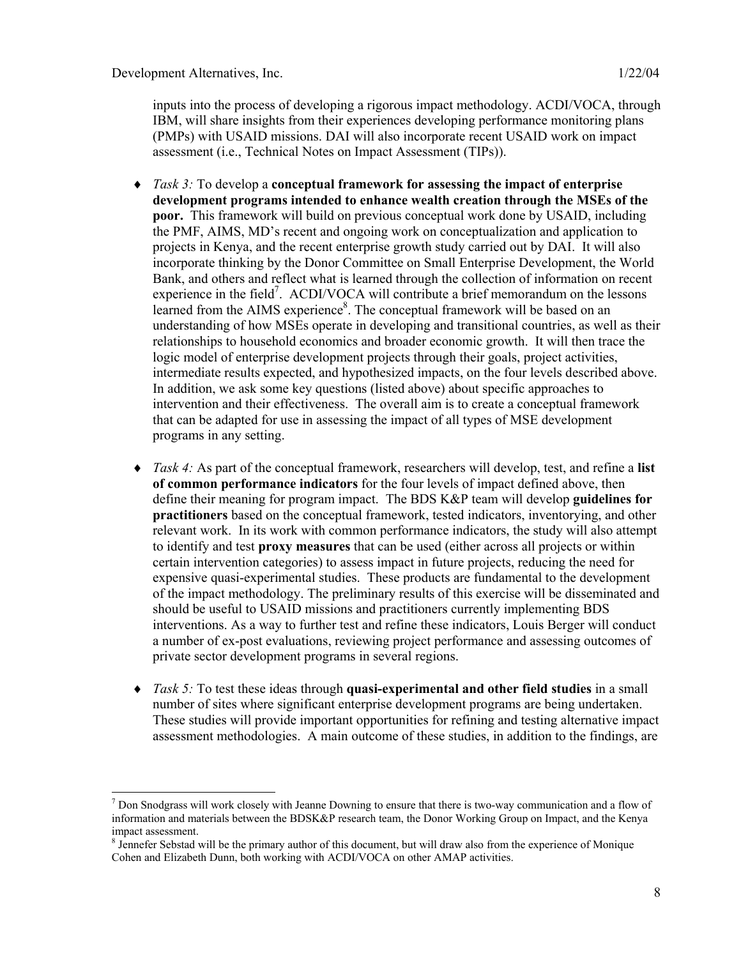$\overline{a}$ 

inputs into the process of developing a rigorous impact methodology. ACDI/VOCA, through IBM, will share insights from their experiences developing performance monitoring plans (PMPs) with USAID missions. DAI will also incorporate recent USAID work on impact assessment (i.e., Technical Notes on Impact Assessment (TIPs)).

- ♦ *Task 3:* To develop a **conceptual framework for assessing the impact of enterprise development programs intended to enhance wealth creation through the MSEs of the poor.** This framework will build on previous conceptual work done by USAID, including the PMF, AIMS, MD's recent and ongoing work on conceptualization and application to projects in Kenya, and the recent enterprise growth study carried out by DAI. It will also incorporate thinking by the Donor Committee on Small Enterprise Development, the World Bank, and others and reflect what is learned through the collection of information on recent experience in the field<sup>7</sup>. ACDI/VOCA will contribute a brief memorandum on the lessons learned from the AIMS experience $8$ . The conceptual framework will be based on an understanding of how MSEs operate in developing and transitional countries, as well as their relationships to household economics and broader economic growth. It will then trace the logic model of enterprise development projects through their goals, project activities, intermediate results expected, and hypothesized impacts, on the four levels described above. In addition, we ask some key questions (listed above) about specific approaches to intervention and their effectiveness. The overall aim is to create a conceptual framework that can be adapted for use in assessing the impact of all types of MSE development programs in any setting.
- *Task 4:* As part of the conceptual framework, researchers will develop, test, and refine a **list of common performance indicators** for the four levels of impact defined above, then define their meaning for program impact. The BDS K&P team will develop **guidelines for practitioners** based on the conceptual framework, tested indicators, inventorying, and other relevant work. In its work with common performance indicators, the study will also attempt to identify and test **proxy measures** that can be used (either across all projects or within certain intervention categories) to assess impact in future projects, reducing the need for expensive quasi-experimental studies. These products are fundamental to the development of the impact methodology. The preliminary results of this exercise will be disseminated and should be useful to USAID missions and practitioners currently implementing BDS interventions. As a way to further test and refine these indicators, Louis Berger will conduct a number of ex-post evaluations, reviewing project performance and assessing outcomes of private sector development programs in several regions.
- ♦ *Task 5:* To test these ideas through **quasi-experimental and other field studies** in a small number of sites where significant enterprise development programs are being undertaken. These studies will provide important opportunities for refining and testing alternative impact assessment methodologies. A main outcome of these studies, in addition to the findings, are

 $<sup>7</sup>$  Don Snodgrass will work closely with Jeanne Downing to ensure that there is two-way communication and a flow of</sup> information and materials between the BDSK&P research team, the Donor Working Group on Impact, and the Kenya impact assessment.

<sup>&</sup>lt;sup>8</sup> Jennefer Sebstad will be the primary author of this document, but will draw also from the experience of Monique Cohen and Elizabeth Dunn, both working with ACDI/VOCA on other AMAP activities.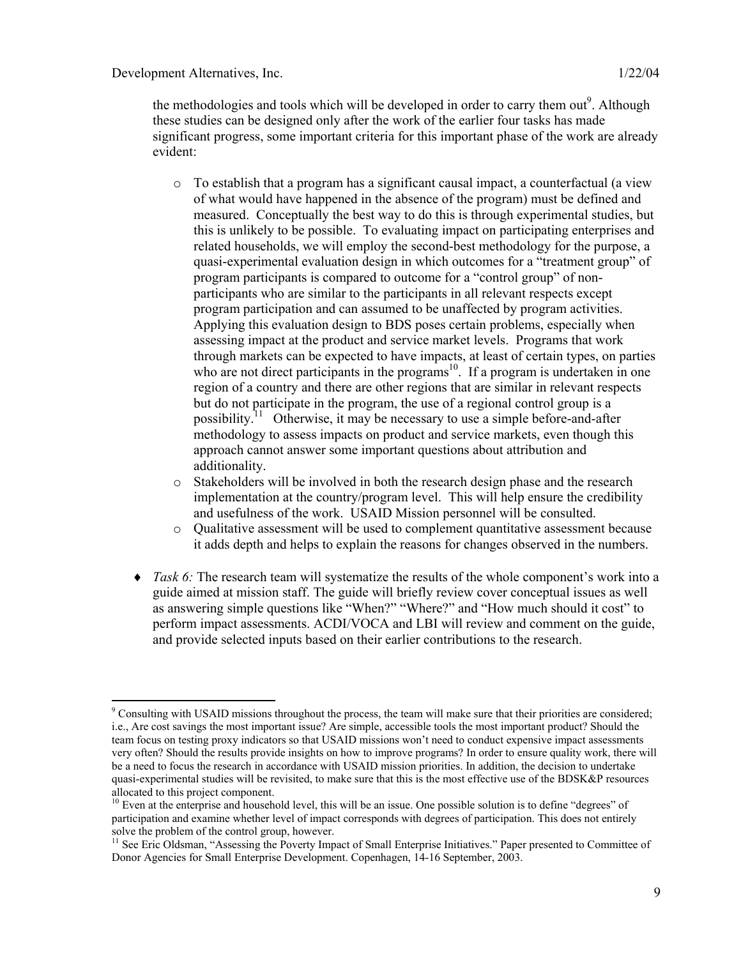the methodologies and tools which will be developed in order to carry them out<sup>9</sup>. Although these studies can be designed only after the work of the earlier four tasks has made significant progress, some important criteria for this important phase of the work are already evident:

- $\circ$  To establish that a program has a significant causal impact, a counterfactual (a view of what would have happened in the absence of the program) must be defined and measured. Conceptually the best way to do this is through experimental studies, but this is unlikely to be possible. To evaluating impact on participating enterprises and related households, we will employ the second-best methodology for the purpose, a quasi-experimental evaluation design in which outcomes for a "treatment group" of program participants is compared to outcome for a "control group" of nonparticipants who are similar to the participants in all relevant respects except program participation and can assumed to be unaffected by program activities. Applying this evaluation design to BDS poses certain problems, especially when assessing impact at the product and service market levels. Programs that work through markets can be expected to have impacts, at least of certain types, on parties who are not direct participants in the programs<sup>10</sup>. If a program is undertaken in one region of a country and there are other regions that are similar in relevant respects but do not participate in the program, the use of a regional control group is a possibility.<sup>11</sup> Otherwise, it may be necessary to use a simple before-and-after methodology to assess impacts on product and service markets, even though this approach cannot answer some important questions about attribution and additionality.
- o Stakeholders will be involved in both the research design phase and the research implementation at the country/program level. This will help ensure the credibility and usefulness of the work. USAID Mission personnel will be consulted.
- o Qualitative assessment will be used to complement quantitative assessment because it adds depth and helps to explain the reasons for changes observed in the numbers.
- ♦ *Task 6:* The research team will systematize the results of the whole component's work into a guide aimed at mission staff. The guide will briefly review cover conceptual issues as well as answering simple questions like "When?" "Where?" and "How much should it cost" to perform impact assessments. ACDI/VOCA and LBI will review and comment on the guide, and provide selected inputs based on their earlier contributions to the research.

l  $9^9$  Consulting with USAID missions throughout the process, the team will make sure that their priorities are considered; i.e., Are cost savings the most important issue? Are simple, accessible tools the most important product? Should the team focus on testing proxy indicators so that USAID missions won't need to conduct expensive impact assessments very often? Should the results provide insights on how to improve programs? In order to ensure quality work, there will be a need to focus the research in accordance with USAID mission priorities. In addition, the decision to undertake quasi-experimental studies will be revisited, to make sure that this is the most effective use of the BDSK&P resources allocated to this project component.

<sup>&</sup>lt;sup>10</sup> Even at the enterprise and household level, this will be an issue. One possible solution is to define "degrees" of participation and examine whether level of impact corresponds with degrees of participation. This does not entirely solve the problem of the control group, however.

<sup>&</sup>lt;sup>11</sup> See Eric Oldsman, "Assessing the Poverty Impact of Small Enterprise Initiatives." Paper presented to Committee of Donor Agencies for Small Enterprise Development. Copenhagen, 14-16 September, 2003.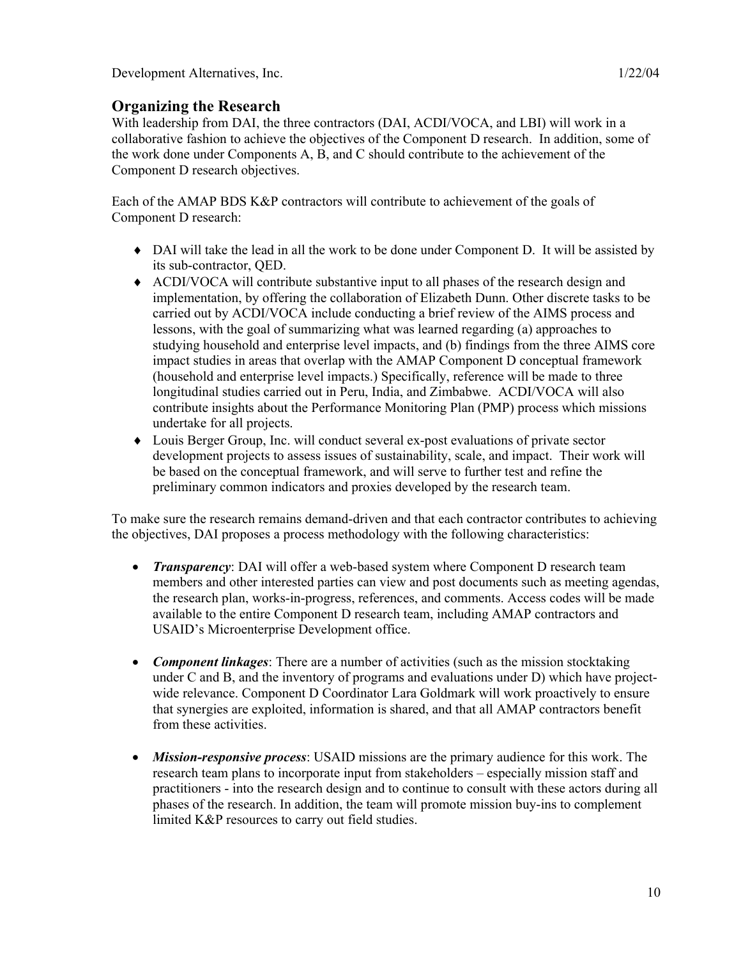## **Organizing the Research**

With leadership from DAI, the three contractors (DAI, ACDI/VOCA, and LBI) will work in a collaborative fashion to achieve the objectives of the Component D research. In addition, some of the work done under Components A, B, and C should contribute to the achievement of the Component D research objectives.

Each of the AMAP BDS K&P contractors will contribute to achievement of the goals of Component D research:

- ♦ DAI will take the lead in all the work to be done under Component D. It will be assisted by its sub-contractor, QED.
- ♦ ACDI/VOCA will contribute substantive input to all phases of the research design and implementation, by offering the collaboration of Elizabeth Dunn. Other discrete tasks to be carried out by ACDI/VOCA include conducting a brief review of the AIMS process and lessons, with the goal of summarizing what was learned regarding (a) approaches to studying household and enterprise level impacts, and (b) findings from the three AIMS core impact studies in areas that overlap with the AMAP Component D conceptual framework (household and enterprise level impacts.) Specifically, reference will be made to three longitudinal studies carried out in Peru, India, and Zimbabwe. ACDI/VOCA will also contribute insights about the Performance Monitoring Plan (PMP) process which missions undertake for all projects.
- ♦ Louis Berger Group, Inc. will conduct several ex-post evaluations of private sector development projects to assess issues of sustainability, scale, and impact. Their work will be based on the conceptual framework, and will serve to further test and refine the preliminary common indicators and proxies developed by the research team.

To make sure the research remains demand-driven and that each contractor contributes to achieving the objectives, DAI proposes a process methodology with the following characteristics:

- *Transparency*: DAI will offer a web-based system where Component D research team members and other interested parties can view and post documents such as meeting agendas, the research plan, works-in-progress, references, and comments. Access codes will be made available to the entire Component D research team, including AMAP contractors and USAID's Microenterprise Development office.
- *Component linkages*: There are a number of activities (such as the mission stocktaking under C and B, and the inventory of programs and evaluations under D) which have projectwide relevance. Component D Coordinator Lara Goldmark will work proactively to ensure that synergies are exploited, information is shared, and that all AMAP contractors benefit from these activities.
- *Mission-responsive process*: USAID missions are the primary audience for this work. The research team plans to incorporate input from stakeholders – especially mission staff and practitioners - into the research design and to continue to consult with these actors during all phases of the research. In addition, the team will promote mission buy-ins to complement limited K&P resources to carry out field studies.